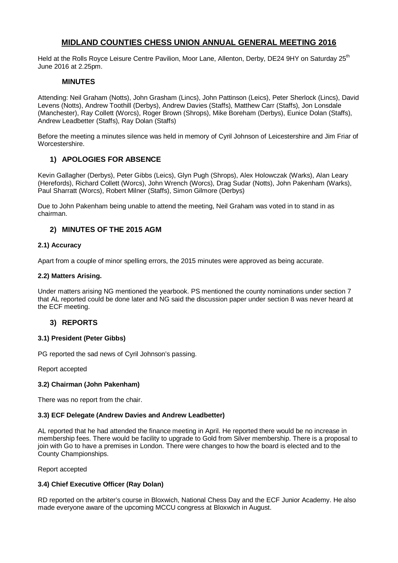# **MIDLAND COUNTIES CHESS UNION ANNUAL GENERAL MEETING 2016**

Held at the Rolls Royce Leisure Centre Pavilion, Moor Lane, Allenton, Derby, DE24 9HY on Saturday 25<sup>th</sup> June 2016 at 2.25pm.

## **MINUTES**

Attending: Neil Graham (Notts), John Grasham (Lincs), John Pattinson (Leics), Peter Sherlock (Lincs), David Levens (Notts), Andrew Toothill (Derbys), Andrew Davies (Staffs), Matthew Carr (Staffs), Jon Lonsdale (Manchester), Ray Collett (Worcs), Roger Brown (Shrops), Mike Boreham (Derbys), Eunice Dolan (Staffs), Andrew Leadbetter (Staffs), Ray Dolan (Staffs)

Before the meeting a minutes silence was held in memory of Cyril Johnson of Leicestershire and Jim Friar of Worcestershire.

# **1) APOLOGIES FOR ABSENCE**

Kevin Gallagher (Derbys), Peter Gibbs (Leics), Glyn Pugh (Shrops), Alex Holowczak (Warks), Alan Leary (Herefords), Richard Collett (Worcs), John Wrench (Worcs), Drag Sudar (Notts), John Pakenham (Warks), Paul Sharratt (Worcs), Robert Milner (Staffs), Simon Gilmore (Derbys)

Due to John Pakenham being unable to attend the meeting, Neil Graham was voted in to stand in as chairman.

# **2) MINUTES OF THE 2015 AGM**

### **2.1) Accuracy**

Apart from a couple of minor spelling errors, the 2015 minutes were approved as being accurate.

### **2.2) Matters Arising.**

Under matters arising NG mentioned the yearbook. PS mentioned the county nominations under section 7 that AL reported could be done later and NG said the discussion paper under section 8 was never heard at the ECF meeting.

## **3) REPORTS**

### **3.1) President (Peter Gibbs)**

PG reported the sad news of Cyril Johnson's passing.

Report accepted

### **3.2) Chairman (John Pakenham)**

There was no report from the chair.

### **3.3) ECF Delegate (Andrew Davies and Andrew Leadbetter)**

AL reported that he had attended the finance meeting in April. He reported there would be no increase in membership fees. There would be facility to upgrade to Gold from Silver membership. There is a proposal to join with Go to have a premises in London. There were changes to how the board is elected and to the County Championships.

Report accepted

## **3.4) Chief Executive Officer (Ray Dolan)**

RD reported on the arbiter's course in Bloxwich, National Chess Day and the ECF Junior Academy. He also made everyone aware of the upcoming MCCU congress at Bloxwich in August.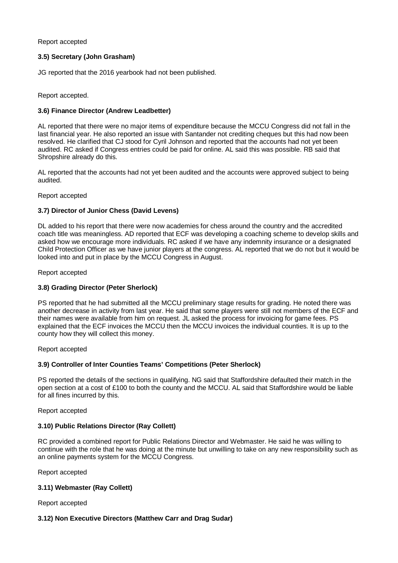#### Report accepted

### **3.5) Secretary (John Grasham)**

JG reported that the 2016 yearbook had not been published.

Report accepted.

### **3.6) Finance Director (Andrew Leadbetter)**

AL reported that there were no major items of expenditure because the MCCU Congress did not fall in the last financial year. He also reported an issue with Santander not crediting cheques but this had now been resolved. He clarified that CJ stood for Cyril Johnson and reported that the accounts had not yet been audited. RC asked if Congress entries could be paid for online. AL said this was possible. RB said that Shropshire already do this.

AL reported that the accounts had not yet been audited and the accounts were approved subject to being audited.

Report accepted

#### **3.7) Director of Junior Chess (David Levens)**

DL added to his report that there were now academies for chess around the country and the accredited coach title was meaningless. AD reported that ECF was developing a coaching scheme to develop skills and asked how we encourage more individuals. RC asked if we have any indemnity insurance or a designated Child Protection Officer as we have junior players at the congress. AL reported that we do not but it would be looked into and put in place by the MCCU Congress in August.

Report accepted

### **3.8) Grading Director (Peter Sherlock)**

PS reported that he had submitted all the MCCU preliminary stage results for grading. He noted there was another decrease in activity from last year. He said that some players were still not members of the ECF and their names were available from him on request. JL asked the process for invoicing for game fees. PS explained that the ECF invoices the MCCU then the MCCU invoices the individual counties. It is up to the county how they will collect this money.

Report accepted

#### **3.9) Controller of Inter Counties Teams' Competitions (Peter Sherlock)**

PS reported the details of the sections in qualifying. NG said that Staffordshire defaulted their match in the open section at a cost of £100 to both the county and the MCCU. AL said that Staffordshire would be liable for all fines incurred by this.

Report accepted

#### **3.10) Public Relations Director (Ray Collett)**

RC provided a combined report for Public Relations Director and Webmaster. He said he was willing to continue with the role that he was doing at the minute but unwilling to take on any new responsibility such as an online payments system for the MCCU Congress.

Report accepted

### **3.11) Webmaster (Ray Collett)**

Report accepted

### **3.12) Non Executive Directors (Matthew Carr and Drag Sudar)**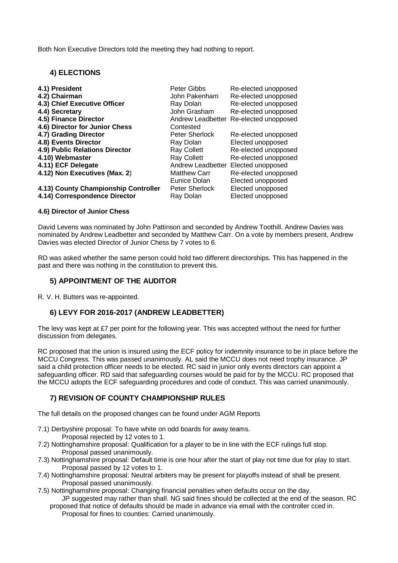Both Non Executive Directors told the meeting they had nothing to report.

## **4) ELECTIONS**

| 4.1) President                       | Peter Gibbs           | Re-elected unopposed                   |
|--------------------------------------|-----------------------|----------------------------------------|
| 4.2) Chairman                        | John Pakenham         | Re-elected unopposed                   |
| 4.3) Chief Executive Officer         | Ray Dolan             | Re-elected unopposed                   |
| 4.4) Secretary                       | John Grasham          | Re-elected unopposed                   |
| 4.5) Finance Director                |                       | Andrew Leadbetter Re-elected unopposed |
| 4.6) Director for Junior Chess       | Contested             |                                        |
| 4.7) Grading Director                | <b>Peter Sherlock</b> | Re-elected unopposed                   |
| 4.8) Events Director                 | Ray Dolan             | Elected unopposed                      |
| 4.9) Public Relations Director       | <b>Ray Collett</b>    | Re-elected unopposed                   |
| 4.10) Webmaster                      | Ray Collett           | Re-elected unopposed                   |
| 4.11) ECF Delegate                   |                       | Andrew Leadbetter Elected unopposed    |
| 4.12) Non Executives (Max. 2)        | <b>Matthew Carr</b>   | Re-elected unopposed                   |
|                                      | Eunice Dolan          | Elected unopposed                      |
| 4.13) County Championship Controller | Peter Sherlock        | Elected unopposed                      |
| 4.14) Correspondence Director        | Ray Dolan             | Elected unopposed                      |

#### **4.6) Director of Junior Chess**

David Levens was nominated by John Pattinson and seconded by Andrew Toothill. Andrew Davies was nominated by Andrew Leadbetter and seconded by Matthew Carr. On a vote by members present, Andrew Davies was elected Director of Junior Chess by 7 votes to 6.

RD was asked whether the same person could hold two different directorships. This has happened in the past and there was nothing in the constitution to prevent this.

### **5) APPOINTMENT OF THE AUDITOR**

R. V. H. Butters was re-appointed.

## **6) LEVY FOR 2016-2017 (ANDREW LEADBETTER)**

The levy was kept at £7 per point for the following year. This was accepted without the need for further discussion from delegates.

RC proposed that the union is insured using the ECF policy for indemnity insurance to be in place before the MCCU Congress. This was passed unanimously. AL said the MCCU does not need trophy insurance. JP said a child protection officer needs to be elected. RC said in junior only events directors can appoint a safeguarding officer. RD said that safeguarding courses would be paid for by the MCCU. RC proposed that the MCCU adopts the ECF safeguarding procedures and code of conduct. This was carried unanimously.

## **7) REVISION OF COUNTY CHAMPIONSHIP RULES**

The full details on the proposed changes can be found under AGM Reports

- 7.1) Derbyshire proposal: To have white on odd boards for away teams. Proposal rejected by 12 votes to 1.
- 7.2) Nottinghamshire proposal: Qualification for a player to be in line with the ECF rulings full stop. Proposal passed unanimously.
- 7.3) Nottinghamshire proposal: Default time is one hour after the start of play not time due for play to start. Proposal passed by 12 votes to 1.
- 7.4) Nottinghamshire proposal: Neutral arbiters may be present for playoffs instead of shall be present. Proposal passed unanimously.
- 7.5) Nottinghamshire proposal: Changing financial penalties when defaults occur on the day. JP suggested may rather than shall. NG said fines should be collected at the end of the season. RC
	- proposed that notice of defaults should be made in advance via email with the controller cced in. Proposal for fines to counties: Carried unanimously.